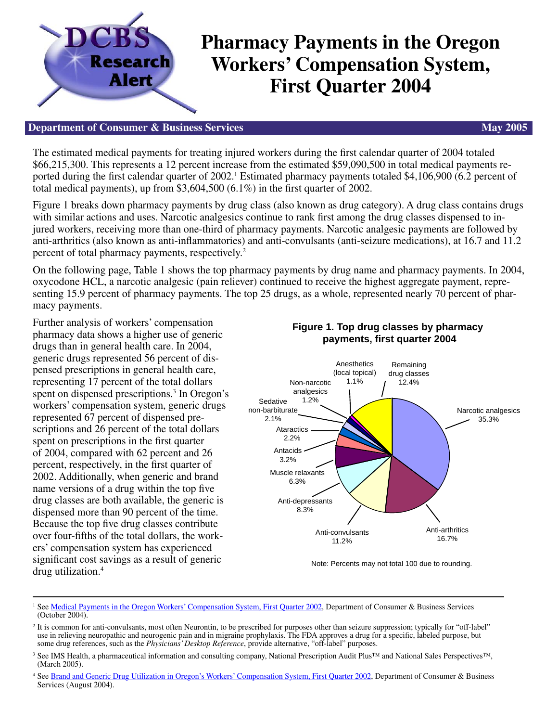

## **Department of Consumer & Business Services May 2005 May 2005**

The estimated medical payments for treating injured workers during the first calendar quarter of 2004 totaled \$66,215,300. This represents a 12 percent increase from the estimated \$59,090,500 in total medical payments reported during the first calendar quarter of 2002.<sup>1</sup> Estimated pharmacy payments totaled \$4,106,900 (6.2 percent of total medical payments), up from  $$3,604,500$  (6.1%) in the first quarter of 2002.

Figure 1 breaks down pharmacy payments by drug class (also known as drug category). A drug class contains drugs with similar actions and uses. Narcotic analgesics continue to rank first among the drug classes dispensed to injured workers, receiving more than one-third of pharmacy payments. Narcotic analgesic payments are followed by anti-arthritics (also known as anti-inflammatories) and anti-convulsants (anti-seizure medications), at 16.7 and 11.2 percent of total pharmacy payments, respectively.2

On the following page, Table 1 shows the top pharmacy payments by drug name and pharmacy payments. In 2004, oxycodone HCL, a narcotic analgesic (pain reliever) continued to receive the highest aggregate payment, representing 15.9 percent of pharmacy payments. The top 25 drugs, as a whole, represented nearly 70 percent of pharmacy payments.

Further analysis of workers' compensation pharmacy data shows a higher use of generic drugs than in general health care. In 2004, generic drugs represented 56 percent of dispensed prescriptions in general health care, representing 17 percent of the total dollars spent on dispensed prescriptions.<sup>3</sup> In Oregon's workers' compensation system, generic drugs represented 67 percent of dispensed prescriptions and 26 percent of the total dollars spent on prescriptions in the first quarter of 2004, compared with 62 percent and 26 percent, respectively, in the first quarter of 2002. Additionally, when generic and brand name versions of a drug within the top five drug classes are both available, the generic is dispensed more than 90 percent of the time. Because the top five drug classes contribute over four-fifths of the total dollars, the workers' compensation system has experienced significant cost savings as a result of generic drug utilization.4



**Figure 1. Top drug classes by pharmacy** 

Note: Percents may not total 100 due to rounding.

<sup>1</sup> Se[e Medical Payments in the Oregon Workers' Compensation System, First Quarter 2002,](http://www.cbs.state.or.us/imd/rasums/4627/02web/02_4627.pdf) Department of Consumer & Business Services (October 2004).

- <sup>3</sup> See IMS Health, a pharmaceutical information and consulting company, National Prescription Audit Plus™ and National Sales Perspectives™, (March 2005).
- 4 Se[e Brand and Generic Drug Utilization in Oregon's Workers' Compensation System, First Quarter 2002,](http://www.cbs.state.or.us/imd/rasums/2908/03_2908.pdf) Department of Consumer & Business Services (August 2004).

<sup>&</sup>lt;sup>2</sup> It is common for anti-convulsants, most often Neurontin, to be prescribed for purposes other than seizure suppression; typically for "off-label" use in relieving neuropathic and neurogenic pain and in migraine prophylaxis. The FDA approves a drug for a specific, labeled purpose, but some drug references, such as the *Physicians' Desktop Reference*, provide alternative, "off-label" purposes.